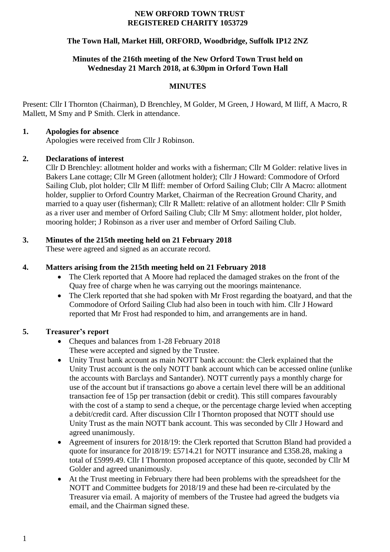#### **NEW ORFORD TOWN TRUST REGISTERED CHARITY 1053729**

# **The Town Hall, Market Hill, ORFORD, Woodbridge, Suffolk IP12 2NZ**

# **Minutes of the 216th meeting of the New Orford Town Trust held on Wednesday 21 March 2018, at 6.30pm in Orford Town Hall**

# **MINUTES**

Present: Cllr I Thornton (Chairman), D Brenchley, M Golder, M Green, J Howard, M Iliff, A Macro, R Mallett, M Smy and P Smith. Clerk in attendance.

### **1. Apologies for absence**

Apologies were received from Cllr J Robinson.

### **2. Declarations of interest**

Cllr D Brenchley: allotment holder and works with a fisherman; Cllr M Golder: relative lives in Bakers Lane cottage; Cllr M Green (allotment holder); Cllr J Howard: Commodore of Orford Sailing Club, plot holder; Cllr M Iliff: member of Orford Sailing Club; Cllr A Macro: allotment holder, supplier to Orford Country Market, Chairman of the Recreation Ground Charity, and married to a quay user (fisherman); Cllr R Mallett: relative of an allotment holder: Cllr P Smith as a river user and member of Orford Sailing Club; Cllr M Smy: allotment holder, plot holder, mooring holder; J Robinson as a river user and member of Orford Sailing Club.

# **3. Minutes of the 215th meeting held on 21 February 2018**

These were agreed and signed as an accurate record.

# **4. Matters arising from the 215th meeting held on 21 February 2018**

- The Clerk reported that A Moore had replaced the damaged strakes on the front of the Quay free of charge when he was carrying out the moorings maintenance.
- The Clerk reported that she had spoken with Mr Frost regarding the boatyard, and that the Commodore of Orford Sailing Club had also been in touch with him. Cllr J Howard reported that Mr Frost had responded to him, and arrangements are in hand.

# **5. Treasurer's report**

- Cheques and balances from 1-28 February 2018 These were accepted and signed by the Trustee.
- Unity Trust bank account as main NOTT bank account: the Clerk explained that the Unity Trust account is the only NOTT bank account which can be accessed online (unlike the accounts with Barclays and Santander). NOTT currently pays a monthly charge for use of the account but if transactions go above a certain level there will be an additional transaction fee of 15p per transaction (debit or credit). This still compares favourably with the cost of a stamp to send a cheque, or the percentage charge levied when accepting a debit/credit card. After discussion Cllr I Thornton proposed that NOTT should use Unity Trust as the main NOTT bank account. This was seconded by Cllr J Howard and agreed unanimously.
- Agreement of insurers for 2018/19: the Clerk reported that Scrutton Bland had provided a quote for insurance for 2018/19: £5714.21 for NOTT insurance and £358.28, making a total of £5999.49. Cllr I Thornton proposed acceptance of this quote, seconded by Cllr M Golder and agreed unanimously.
- At the Trust meeting in February there had been problems with the spreadsheet for the NOTT and Committee budgets for 2018/19 and these had been re-circulated by the Treasurer via email. A majority of members of the Trustee had agreed the budgets via email, and the Chairman signed these.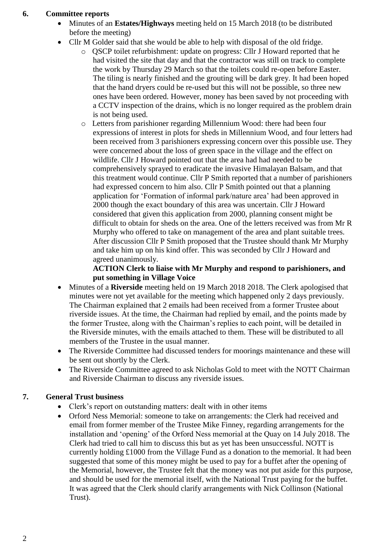### **6. Committee reports**

- Minutes of an **Estates/Highways** meeting held on 15 March 2018 (to be distributed before the meeting)
- Cllr M Golder said that she would be able to help with disposal of the old fridge.
	- o QSCP toilet refurbishment: update on progress: Cllr J Howard reported that he had visited the site that day and that the contractor was still on track to complete the work by Thursday 29 March so that the toilets could re-open before Easter. The tiling is nearly finished and the grouting will be dark grey. It had been hoped that the hand dryers could be re-used but this will not be possible, so three new ones have been ordered. However, money has been saved by not proceeding with a CCTV inspection of the drains, which is no longer required as the problem drain is not being used.
	- o Letters from parishioner regarding Millennium Wood: there had been four expressions of interest in plots for sheds in Millennium Wood, and four letters had been received from 3 parishioners expressing concern over this possible use. They were concerned about the loss of green space in the village and the effect on wildlife. Cllr J Howard pointed out that the area had had needed to be comprehensively sprayed to eradicate the invasive Himalayan Balsam, and that this treatment would continue. Cllr P Smith reported that a number of parishioners had expressed concern to him also. Cllr P Smith pointed out that a planning application for 'Formation of informal park/nature area' had been approved in 2000 though the exact boundary of this area was uncertain. Cllr J Howard considered that given this application from 2000, planning consent might be difficult to obtain for sheds on the area. One of the letters received was from Mr R Murphy who offered to take on management of the area and plant suitable trees. After discussion Cllr P Smith proposed that the Trustee should thank Mr Murphy and take him up on his kind offer. This was seconded by Cllr J Howard and agreed unanimously.

# **ACTION Clerk to liaise with Mr Murphy and respond to parishioners, and put something in Village Voice**

- Minutes of a **Riverside** meeting held on 19 March 2018 2018. The Clerk apologised that minutes were not yet available for the meeting which happened only 2 days previously. The Chairman explained that 2 emails had been received from a former Trustee about riverside issues. At the time, the Chairman had replied by email, and the points made by the former Trustee, along with the Chairman's replies to each point, will be detailed in the Riverside minutes, with the emails attached to them. These will be distributed to all members of the Trustee in the usual manner.
- The Riverside Committee had discussed tenders for moorings maintenance and these will be sent out shortly by the Clerk.
- The Riverside Committee agreed to ask Nicholas Gold to meet with the NOTT Chairman and Riverside Chairman to discuss any riverside issues.

# **7. General Trust business**

- Clerk's report on outstanding matters: dealt with in other items
- Orford Ness Memorial: someone to take on arrangements: the Clerk had received and email from former member of the Trustee Mike Finney, regarding arrangements for the installation and 'opening' of the Orford Ness memorial at the Quay on 14 July 2018. The Clerk had tried to call him to discuss this but as yet has been unsuccessful. NOTT is currently holding £1000 from the Village Fund as a donation to the memorial. It had been suggested that some of this money might be used to pay for a buffet after the opening of the Memorial, however, the Trustee felt that the money was not put aside for this purpose, and should be used for the memorial itself, with the National Trust paying for the buffet. It was agreed that the Clerk should clarify arrangements with Nick Collinson (National Trust).